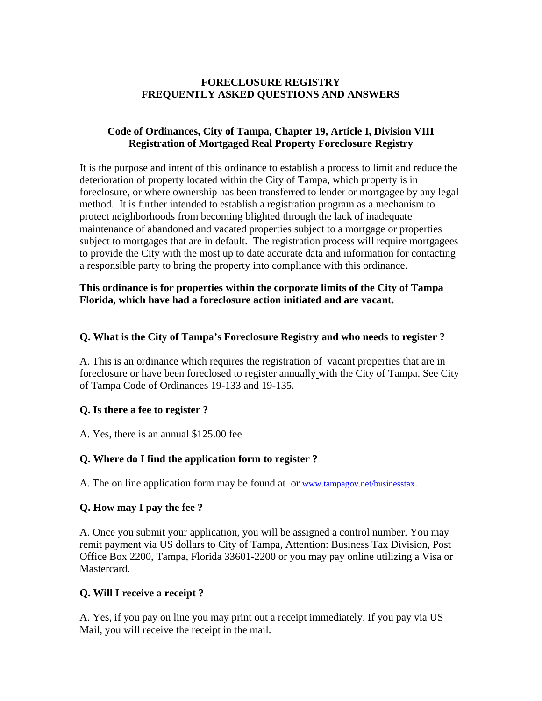### **FORECLOSURE REGISTRY FREQUENTLY ASKED QUESTIONS AND ANSWERS**

### **Code of Ordinances, City of Tampa, Chapter 19, Article I, Division VIII Registration of Mortgaged Real Property Foreclosure Registry**

It is the purpose and intent of this ordinance to establish a process to limit and reduce the deterioration of property located within the City of Tampa, which property is in foreclosure, or where ownership has been transferred to lender or mortgagee by any legal method. It is further intended to establish a registration program as a mechanism to protect neighborhoods from becoming blighted through the lack of inadequate maintenance of abandoned and vacated properties subject to a mortgage or properties subject to mortgages that are in default. The registration process will require mortgagees to provide the City with the most up to date accurate data and information for contacting a responsible party to bring the property into compliance with this ordinance.

### **This ordinance is for properties within the corporate limits of the City of Tampa Florida, which have had a foreclosure action initiated and are vacant.**

### **Q. What is the City of Tampa's Foreclosure Registry and who needs to register ?**

A. This is an ordinance which requires the registration of vacant properties that are in foreclosure or have been foreclosed to register annually with the City of Tampa. See City of Tampa Code of Ordinances 19-133 and 19-135.

### **Q. Is there a fee to register ?**

A. Yes, there is an annual \$125.00 fee

# **Q. Where do I find the application form to register ?**

A. The on line application form may be found at or www.tampagov.net/businesstax.

# **Q. How may I pay the fee ?**

A. Once you submit your application, you will be assigned a control number. You may remit payment via US dollars to City of Tampa, Attention: Business Tax Division, Post Office Box 2200, Tampa, Florida 33601-2200 or you may pay online utilizing a Visa or Mastercard.

# **Q. Will I receive a receipt ?**

A. Yes, if you pay on line you may print out a receipt immediately. If you pay via US Mail, you will receive the receipt in the mail.